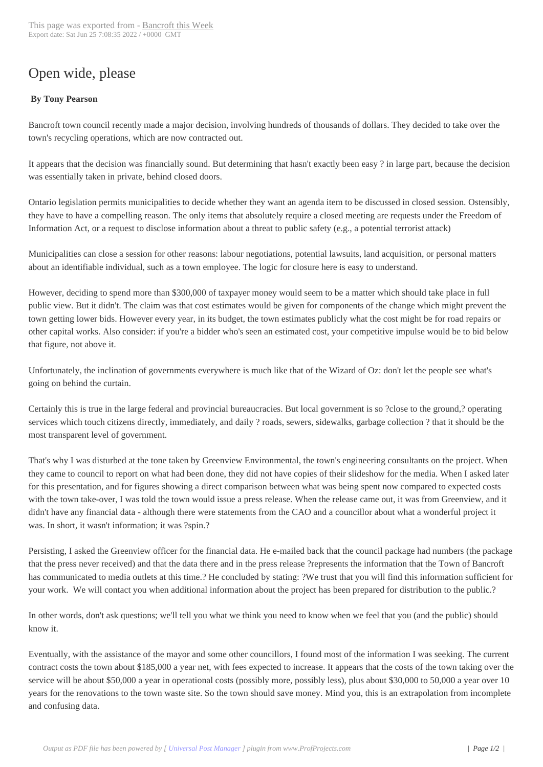## Open wide, please

## **By Tony Pearson**

Bancroft town council recently made a major decision, involving hundreds of thousands of dollars. They decided to take over the town's recycling operations, which are now contracted out.

It appears that the decision was financially sound. But determining that hasn't exactly been easy ? in large part, because the decision was essentially taken in private, behind closed doors.

Ontario legislation permits municipalities to decide whether they want an agenda item to be discussed in closed session. Ostensibly, they have to have a compelling reason. The only items that absolutely require a closed meeting are requests under the Freedom of Information Act, or a request to disclose information about a threat to public safety (e.g., a potential terrorist attack)

Municipalities can close a session for other reasons: labour negotiations, potential lawsuits, land acquisition, or personal matters about an identifiable individual, such as a town employee. The logic for closure here is easy to understand.

However, deciding to spend more than \$300,000 of taxpayer money would seem to be a matter which should take place in full public view. But it didn't. The claim was that cost estimates would be given for components of the change which might prevent the town getting lower bids. However every year, in its budget, the town estimates publicly what the cost might be for road repairs or other capital works. Also consider: if you're a bidder who's seen an estimated cost, your competitive impulse would be to bid below that figure, not above it.

Unfortunately, the inclination of governments everywhere is much like that of the Wizard of Oz: don't let the people see what's going on behind the curtain.

Certainly this is true in the large federal and provincial bureaucracies. But local government is so ?close to the ground,? operating services which touch citizens directly, immediately, and daily ? roads, sewers, sidewalks, garbage collection ? that it should be the most transparent level of government.

That's why I was disturbed at the tone taken by Greenview Environmental, the town's engineering consultants on the project. When they came to council to report on what had been done, they did not have copies of their slideshow for the media. When I asked later for this presentation, and for figures showing a direct comparison between what was being spent now compared to expected costs with the town take-over, I was told the town would issue a press release. When the release came out, it was from Greenview, and it didn't have any financial data - although there were statements from the CAO and a councillor about what a wonderful project it was. In short, it wasn't information; it was ?spin.?

Persisting, I asked the Greenview officer for the financial data. He e-mailed back that the council package had numbers (the package that the press never received) and that the data there and in the press release ?represents the information that the Town of Bancroft has communicated to media outlets at this time.? He concluded by stating: ?We trust that you will find this information sufficient for your work. We will contact you when additional information about the project has been prepared for distribution to the public.?

In other words, don't ask questions; we'll tell you what we think you need to know when we feel that you (and the public) should know it.

Eventually, with the assistance of the mayor and some other councillors, I found most of the information I was seeking. The current contract costs the town about \$185,000 a year net, with fees expected to increase. It appears that the costs of the town taking over the service will be about \$50,000 a year in operational costs (possibly more, possibly less), plus about \$30,000 to 50,000 a year over 10 years for the renovations to the town waste site. So the town should save money. Mind you, this is an extrapolation from incomplete and confusing data.